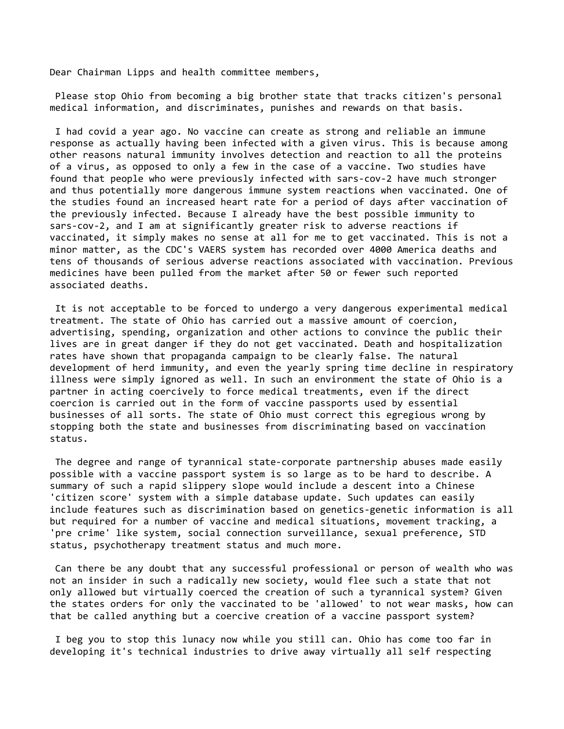Dear Chairman Lipps and health committee members,

 Please stop Ohio from becoming a big brother state that tracks citizen's personal medical information, and discriminates, punishes and rewards on that basis.

 I had covid a year ago. No vaccine can create as strong and reliable an immune response as actually having been infected with a given virus. This is because among other reasons natural immunity involves detection and reaction to all the proteins of a virus, as opposed to only a few in the case of a vaccine. Two studies have found that people who were previously infected with sars-cov-2 have much stronger and thus potentially more dangerous immune system reactions when vaccinated. One of the studies found an increased heart rate for a period of days after vaccination of the previously infected. Because I already have the best possible immunity to sars-cov-2, and I am at significantly greater risk to adverse reactions if vaccinated, it simply makes no sense at all for me to get vaccinated. This is not a minor matter, as the CDC's VAERS system has recorded over 4000 America deaths and tens of thousands of serious adverse reactions associated with vaccination. Previous medicines have been pulled from the market after 50 or fewer such reported associated deaths.

 It is not acceptable to be forced to undergo a very dangerous experimental medical treatment. The state of Ohio has carried out a massive amount of coercion, advertising, spending, organization and other actions to convince the public their lives are in great danger if they do not get vaccinated. Death and hospitalization rates have shown that propaganda campaign to be clearly false. The natural development of herd immunity, and even the yearly spring time decline in respiratory illness were simply ignored as well. In such an environment the state of Ohio is a partner in acting coercively to force medical treatments, even if the direct coercion is carried out in the form of vaccine passports used by essential businesses of all sorts. The state of Ohio must correct this egregious wrong by stopping both the state and businesses from discriminating based on vaccination status.

 The degree and range of tyrannical state-corporate partnership abuses made easily possible with a vaccine passport system is so large as to be hard to describe. A summary of such a rapid slippery slope would include a descent into a Chinese 'citizen score' system with a simple database update. Such updates can easily include features such as discrimination based on genetics-genetic information is all but required for a number of vaccine and medical situations, movement tracking, a 'pre crime' like system, social connection surveillance, sexual preference, STD status, psychotherapy treatment status and much more.

 Can there be any doubt that any successful professional or person of wealth who was not an insider in such a radically new society, would flee such a state that not only allowed but virtually coerced the creation of such a tyrannical system? Given the states orders for only the vaccinated to be 'allowed' to not wear masks, how can that be called anything but a coercive creation of a vaccine passport system?

 I beg you to stop this lunacy now while you still can. Ohio has come too far in developing it's technical industries to drive away virtually all self respecting